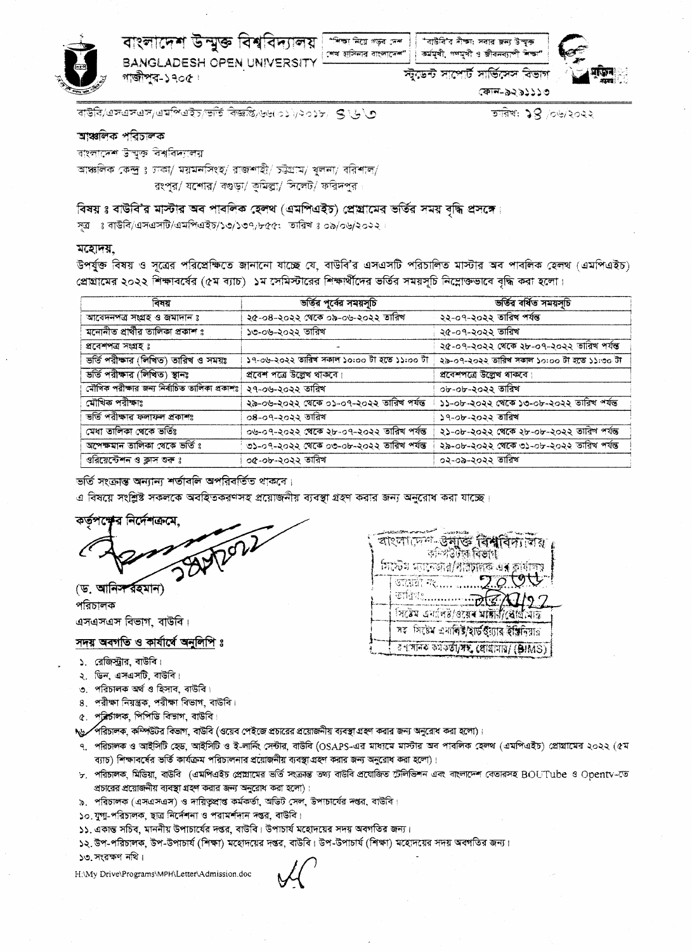

বাংলাদেশ উন্মুক্ত বিশ্ববিদ্যালয় ( 'শিক্ষানিয়ে গড়ৰ দেশ) ( 'বাউৰি'ৰ দীক্ষা সবার জন্য উত্থক **BANGLADESH OPEN UNIVERSITY** গাজীপুর-১৭০৫।

শেখ হাসিনার বাংলাদেশ" । কর্মমুখী, গণমুখী ও জীবনব্যাপী শিক্ষ

স্ট্ডেন্ট সাপোর্ট সার্ভিসেস বিভাগ

কোন-৯২৯১১১৩

তারিখ: ১৪ /০৬/২০২২

বাউৰি/এসএসএস/এমপিএইচ/ভৰ্তি বিজ্ঞপ্তি/৬৬(০১)/২০১৮/ S \��

### আঞ্চলিক পরিচালক

বাংলাদেশ উন্মুক্ত বিশ্ববিদ্যালয়

আঞ্চলিক কেন্দ্ৰ ঃ চাকা/ ময়মনসিংহ/ রাজশাহী/ চট্টগ্রাম/ খলনা/ বরিশাল/ রংপুর/ যশোর/ বগুড়া/ কুমিল্লা/ সিলেট/ ফরিদপুর

## বিষয় ঃ বাউবি'র মাস্টার অব পাবলিক হেলথ (এমপিএইচ) প্রেছামের ভর্তির সময় বদ্ধি প্রসঙ্গে।

সূত্র ঃ বাউবি/এসএসটি/এমপিএইচ/১৩/১৩৭/৮৫৫; তারিখঃ ০৯/০৬/২০২২

#### মহোদয়

উপর্যুক্ত বিষয় ও সূত্রের পরিপ্রেক্ষিতে জানানো যাচ্ছে যে, বাউবি'র এসএসটি পরিচালিত মাস্টার অব পাবলিক হেলথ (এমপিএইচ) প্রোগ্রামের ২০২২ শিক্ষাবর্ষের (৫ম ব্যাচ) ১ম সেমিস্টারের শিক্ষার্থীদের ভর্তির সময়সূচি নিম্নোক্তভাবে বৃদ্ধি করা হলো।

| বিষয়                                        | ভৰ্তির পূর্বের সময়সূচি                     | ভৰ্তিৰ বৰ্ধিত সময়সূচি                      |
|----------------------------------------------|---------------------------------------------|---------------------------------------------|
| আবেদনপত্র সংগ্রহ ও জমাদান ঃ                  | ২৫-০৪-২০২২ থেকে ০৯-০৬-২০২২ তারিখ            | ২২-০৭-২০২২ তারিখ পর্যন্ত                    |
| মনোনীত প্রার্থীর তালিকা প্রকাশ ঃ             | ১৩-০৬-২০২২ তারিখ                            | ২৫-০৭-২০২২ তারিখ                            |
| প্ৰবেশপত্ৰ সংগ্ৰহ ঃ                          |                                             | ২৫-০৭-২০২২ থেকে ২৮-০৭-২০২২ তারিখ পর্যন্ত    |
| ভৰ্তি পৰীক্ষাৰ (লিখিত) তাৰিখ ও সময়ঃ         | ১৭-০৬-২০২২ তারিখ সকাল ১০:০০ টা হতে ১১:০০ টা | ২৯-০৭-২০২২ তারিখ সকাল ১০:০০ টা হতে ১১:৩০ টা |
| ভৰ্তি পরীক্ষার (লিখিত) স্থানঃ                | প্রবেশ পত্রে উল্লেখ থাকবে।                  | প্রবেশপত্রে উল্লেখ থাকবে।                   |
| মৌখিক পরীক্ষার জন্য নির্বাচিত তালিকা প্রকাশঃ | ২৭-০৬-২০২২ তারিখ                            | ০৮-০৮-২০২২ তারিখ                            |
| মৌখিক পরীক্ষাঃ                               | ২৯-০৬-২০২২ থেকে ০১-০৭-২০২২ তারিখ পর্যন্ত    | ১১-০৮-২০২২ থেকে ১৩-০৮-২০২২ তারিখ পর্যন্ত    |
| ভৰ্তি পরীক্ষার ফলাফল প্রকাশঃ                 | ০৪-০৭-২০২২ তারিখ                            | ১৭-০৮-২০২২ তারিখ                            |
| মেধা তালিকা থেকে ভৰ্তিঃ                      | ০৬-০৭-২০২২ থেকে ২৮-০৭-২০২২ তারিখ পর্যন্ত    | ২১-০৮-২০২২ থেকে ২৮-০৮-২০২২ তারিশ পর্যন্ত    |
| অপেক্ষমান তালিকা থেকে ভৰ্তি ঃ                | ৩১-০৭-২০২২ থেকে ০৩-০৮-২০২২ তারিখ পর্যন্ত    | ২৯-০৮-২০২২ থেকে ৩১-০৮-২০২২ তারিখ পর্যন্ত    |
| ওরিয়েন্টেশন ও ক্লাস শুরু ঃ                  | ০৫-০৮-২০২২ তারিখ                            | ০২-০৯-২০২২ তারিখ                            |

ভৰ্তি সংক্ৰান্ত অন্যান্য শৰ্তাবলি অপৱিবৰ্তিত থাকৰে।

এ বিষয়ে সংশ্লিষ্ট সকলকে অবহিতকরণসহ প্রয়োজনীয় ব্যবস্থা গ্রহণ করার জন্য অনুরোধ করা যাচ্ছে।

কর্তপশ্বে ব নিৰ্দেশক্ৰ

(ড. আনিস রহমান) পরিচালক এসএসএস বিভাগ, বাউবি।

### সদয় অবগতি ও কার্যার্ষে অনুলিপি ঃ

- ১. রেজিস্ট্রার, বাউবি।
- ২. ডিন. এসএসটি. বাউবি।
- ৩. পরিচালক অর্থ ও হিসাব, বাউবি।
- ৪. পরীক্ষা নিয়ন্ত্রক, পরীক্ষা বিভাগ, বাউবি।
- ৫. প্রির্চালক, পিপিডি বিভাগ, বাউবি।

১৬ সরিচালক, কম্পিউটর বিভাগ, বাউবি (ওয়েব পেইজে প্রচারের প্রয়োজনীয় ব্যবস্থা গ্রহণ করার জন্য অনুরোধ করা হলো)।

- ৭. পরিচালক ও আইসিটি হেড, আইসিটি ও ই-লার্নিং সেন্টার, বাউবি (OSAPS-এর মাধ্যমে মাস্টার অব পাবলিক হেলথ (এমপিএইচ) প্রোগ্রামের ২০২২ (৫ম ব্যাচ) শিক্ষাবর্ষের ভর্তি কার্যক্রম পরিচালনার প্রয়োজনীয় ব্যবস্থা গ্রহণ করার জন্য অনুরোধ করা হলো)।
- ৮. পরিচালক মিডিয়া বাউবি (এমপিএইচ প্রোগ্রামের ভর্তি সংক্রান্ত তথ্য বাউবি প্রযোজিত টেলিভিশন এবং বাংলাদেশ বেতারসহ BOUTube ও Opentv-তে প্রচারের প্রয়োজনীয় ব্যবস্থা গ্রহণ করার জন্য অনুরোধ করা হলো)।
- ৯. পরিচালক (এসএসএস) ও দায়িতুপ্রাপ্ত কর্মকর্তা, অভিট সেল, উপাচার্যের দপ্তর, বাউবি।
- ১০. যুগা-পরিচালক, ছাত্র নির্দেশনা ও পরামর্শদান দপ্তর, বাউবি।
- ১১. একান্ত সচিব, মাননীয় উপাচার্যের দপ্তর, বাউবি। উপাচার্য মহোদয়ের সদয় অবগতির জন্য।
- ১২. উপ-পরিচালক, উপ-উপাচার্য (শিক্ষা) মহোদয়ের দপ্তর, বাউবি। উপ-উপাচার্য (শিক্ষা) মহোদয়ের সদয় অবগতির জন্য। ১৩ সংরক্ষণ নথি।

H.\My Drive\Programs\MPH\Letter\Admission.doc

বাংলাদেশ-উন্**ভি বিশ্ববিদ্যবি**য় কন্দিউটৰে বিভাগ সিস্টেম অ্যানজার/ধ্রিচালক এর কার্যাল START TE..... ....  $\overbrace{\text{C}}$  of  $\overline{\text{C}}$   $\overline{\text{C}}$   $\overline{\text{C}}$   $\overline{\text{C}}$   $\overline{\text{C}}$   $\overline{\text{C}}$   $\overline{\text{C}}$   $\overline{\text{C}}$   $\overline{\text{C}}$   $\overline{\text{C}}$   $\overline{\text{C}}$   $\overline{\text{C}}$   $\overline{\text{C}}$   $\overline{\text{C}}$   $\overline{\text{C}}$   $\overline{\text{C}}$   $\overline{\text{C}}$   $\overline{\text{C}}$   $\overline{\text{C}}$ সিষেম এনপিষ্ট/ওয়েৰ মাঙ্গাবীপ্ৰেছিমিত্তি সহ সিষ্টেম এনালিষ্ট/হার্ড উন্নার ইঞ্জিনিয়ার ব পদানক কৰ্মকৰ্তা/সম, প্ৰোগ্ৰামায়/ (BIMS)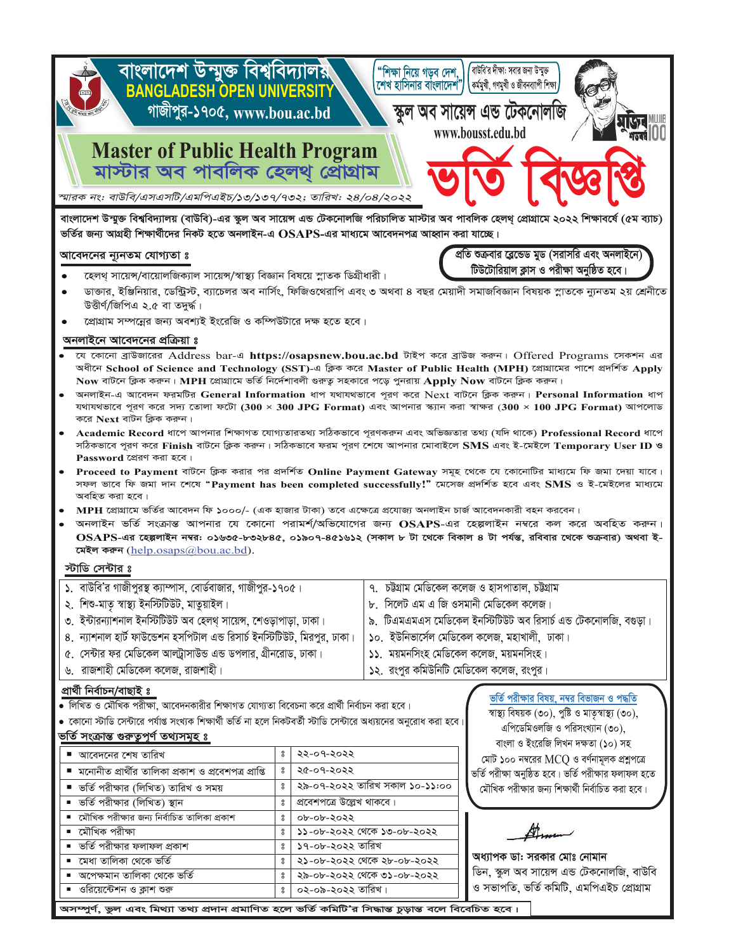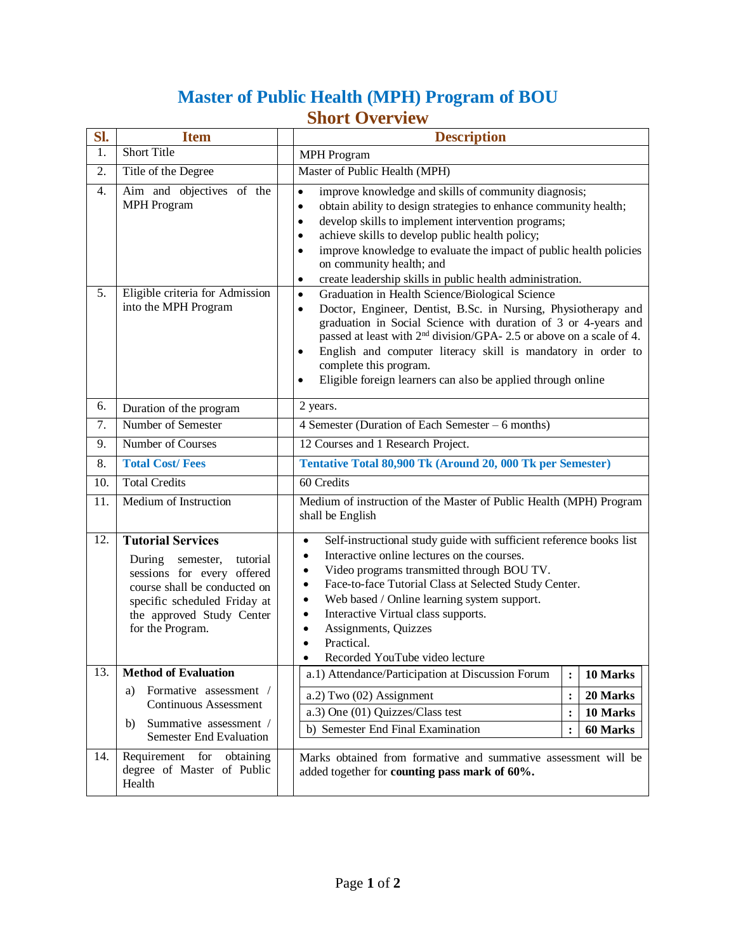# **Master of Public Health (MPH) Program of BOU Short Overview**

| SI.              | <b>Item</b>                                                                                                                                                                                                | <b>Description</b>                                                                                                                                                                                                                                                                                                                                                                                                                                                                    |  |
|------------------|------------------------------------------------------------------------------------------------------------------------------------------------------------------------------------------------------------|---------------------------------------------------------------------------------------------------------------------------------------------------------------------------------------------------------------------------------------------------------------------------------------------------------------------------------------------------------------------------------------------------------------------------------------------------------------------------------------|--|
| 1.               | <b>Short Title</b>                                                                                                                                                                                         | <b>MPH</b> Program                                                                                                                                                                                                                                                                                                                                                                                                                                                                    |  |
| 2.               | Title of the Degree                                                                                                                                                                                        | Master of Public Health (MPH)                                                                                                                                                                                                                                                                                                                                                                                                                                                         |  |
| $\overline{4}$ . | Aim and objectives of the<br><b>MPH</b> Program                                                                                                                                                            | improve knowledge and skills of community diagnosis;<br>$\bullet$<br>obtain ability to design strategies to enhance community health;<br>$\bullet$<br>develop skills to implement intervention programs;<br>$\bullet$<br>achieve skills to develop public health policy;<br>٠<br>improve knowledge to evaluate the impact of public health policies<br>$\bullet$<br>on community health; and<br>create leadership skills in public health administration.<br>$\bullet$                |  |
| 5.               | Eligible criteria for Admission<br>into the MPH Program                                                                                                                                                    | Graduation in Health Science/Biological Science<br>$\bullet$<br>Doctor, Engineer, Dentist, B.Sc. in Nursing, Physiotherapy and<br>$\bullet$<br>graduation in Social Science with duration of 3 or 4-years and<br>passed at least with 2 <sup>nd</sup> division/GPA- 2.5 or above on a scale of 4.<br>English and computer literacy skill is mandatory in order to<br>$\bullet$<br>complete this program.<br>Eligible foreign learners can also be applied through online<br>$\bullet$ |  |
| 6.               | Duration of the program                                                                                                                                                                                    | 2 years.                                                                                                                                                                                                                                                                                                                                                                                                                                                                              |  |
| 7.               | Number of Semester                                                                                                                                                                                         | 4 Semester (Duration of Each Semester – 6 months)                                                                                                                                                                                                                                                                                                                                                                                                                                     |  |
| 9.               | Number of Courses                                                                                                                                                                                          | 12 Courses and 1 Research Project.                                                                                                                                                                                                                                                                                                                                                                                                                                                    |  |
| 8.               | <b>Total Cost/Fees</b>                                                                                                                                                                                     | Tentative Total 80,900 Tk (Around 20, 000 Tk per Semester)                                                                                                                                                                                                                                                                                                                                                                                                                            |  |
| 10.              | <b>Total Credits</b>                                                                                                                                                                                       | 60 Credits                                                                                                                                                                                                                                                                                                                                                                                                                                                                            |  |
| 11.              | Medium of Instruction                                                                                                                                                                                      | Medium of instruction of the Master of Public Health (MPH) Program<br>shall be English                                                                                                                                                                                                                                                                                                                                                                                                |  |
| 12.              | <b>Tutorial Services</b><br>During<br>semester,<br>tutorial<br>sessions for every offered<br>course shall be conducted on<br>specific scheduled Friday at<br>the approved Study Center<br>for the Program. | Self-instructional study guide with sufficient reference books list<br>$\bullet$<br>Interactive online lectures on the courses.<br>٠<br>Video programs transmitted through BOU TV.<br>$\bullet$<br>Face-to-face Tutorial Class at Selected Study Center.<br>٠<br>Web based / Online learning system support.<br>٠<br>Interactive Virtual class supports.<br>٠<br>Assignments, Quizzes<br>$\bullet$<br>Practical.<br>$\bullet$<br>Recorded YouTube video lecture                       |  |
| 13.              | <b>Method of Evaluation</b>                                                                                                                                                                                | a.1) Attendance/Participation at Discussion Forum<br>10 Marks<br>$\ddot{\cdot}$                                                                                                                                                                                                                                                                                                                                                                                                       |  |
|                  | Formative assessment /<br>a)<br>Continuous Assessment<br>Summative assessment /<br>b)<br><b>Semester End Evaluation</b>                                                                                    | $a.2$ ) Two $(02)$ Assignment<br>$\ddot{\cdot}$<br>20 Marks<br>a.3) One (01) Quizzes/Class test<br>10 Marks<br>:<br>$\ddot{\cdot}$<br>b) Semester End Final Examination<br>60 Marks                                                                                                                                                                                                                                                                                                   |  |
| 14.              | Requirement for<br>obtaining<br>degree of Master of Public<br>Health                                                                                                                                       | Marks obtained from formative and summative assessment will be<br>added together for counting pass mark of 60%.                                                                                                                                                                                                                                                                                                                                                                       |  |